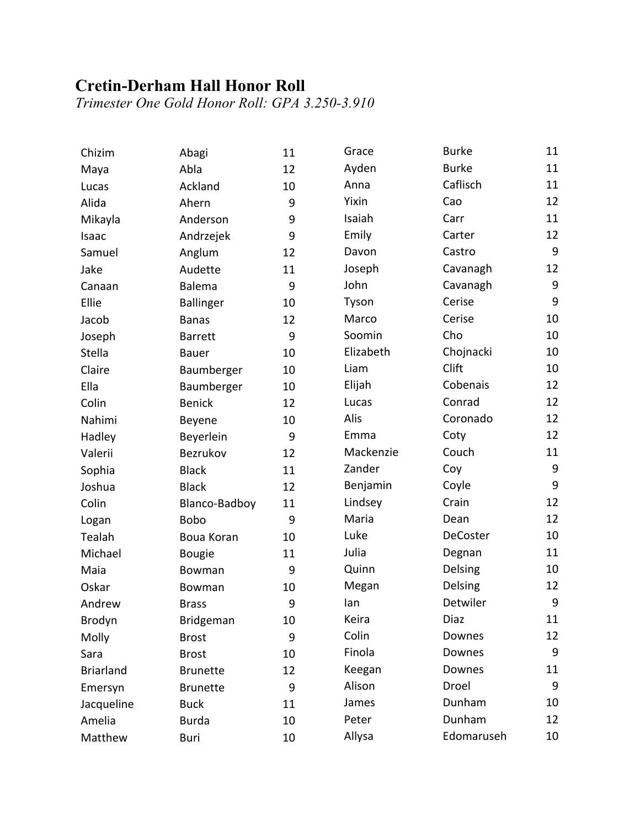## **Cretin-Derham Hall Honor Roll**

*Trimester One Gold Honor Roll: GPA 3.250-3.910*

| Chizim           | Abagi            | 11 | Grace     | <b>Burke</b>    | 11               |
|------------------|------------------|----|-----------|-----------------|------------------|
| Maya             | Abla             | 12 | Ayden     | <b>Burke</b>    | 11               |
| Lucas            | Ackland          | 10 | Anna      | Caflisch        | 11               |
| Alida            | Ahern            | 9  | Yixin     | Cao             | 12               |
| Mikayla          | Anderson         | 9  | Isaiah    | Carr            | 11               |
| Isaac            | Andrzejek        | 9  | Emily     | Carter          | 12               |
| Samuel           | Anglum           | 12 | Davon     | Castro          | 9                |
| Jake             | Audette          | 11 | Joseph    | Cavanagh        | 12               |
| Canaan           | Balema           | 9  | John      | Cavanagh        | $\boldsymbol{9}$ |
| Ellie            | <b>Ballinger</b> | 10 | Tyson     | Cerise          | 9                |
| Jacob            | <b>Banas</b>     | 12 | Marco     | Cerise          | 10               |
| Joseph           | <b>Barrett</b>   | 9  | Soomin    | Cho             | 10               |
| Stella           | <b>Bauer</b>     | 10 | Elizabeth | Chojnacki       | 10               |
| Claire           | Baumberger       | 10 | Liam      | Clift           | 10               |
| Ella             | Baumberger       | 10 | Elijah    | Cobenais        | 12               |
| Colin            | <b>Benick</b>    | 12 | Lucas     | Conrad          | 12               |
| Nahimi           | Beyene           | 10 | Alis      | Coronado        | 12               |
| Hadley           | Beyerlein        | 9  | Emma      | Coty            | 12               |
| Valerii          | Bezrukov         | 12 | Mackenzie | Couch           | 11               |
| Sophia           | <b>Black</b>     | 11 | Zander    | Coy             | $\boldsymbol{9}$ |
| Joshua           | <b>Black</b>     | 12 | Benjamin  | Coyle           | 9                |
| Colin            | Blanco-Badboy    | 11 | Lindsey   | Crain           | 12               |
| Logan            | <b>Bobo</b>      | 9  | Maria     | Dean            | 12               |
| Tealah           | Boua Koran       | 10 | Luke      | <b>DeCoster</b> | 10               |
| Michael          | <b>Bougie</b>    | 11 | Julia     | Degnan          | 11               |
| Maia             | Bowman           | 9  | Quinn     | Delsing         | 10               |
| Oskar            | Bowman           | 10 | Megan     | Delsing         | 12               |
| Andrew           | <b>Brass</b>     | 9  | lan       | Detwiler        | $\boldsymbol{9}$ |
| Brodyn           | Bridgeman        | 10 | Keira     | Diaz            | 11               |
| Molly            | <b>Brost</b>     | 9  | Colin     | Downes          | 12               |
| Sara             | <b>Brost</b>     | 10 | Finola    | Downes          | 9                |
| <b>Briarland</b> | <b>Brunette</b>  | 12 | Keegan    | Downes          | 11               |
| Emersyn          | <b>Brunette</b>  | 9  | Alison    | Droel           | 9                |
| Jacqueline       | <b>Buck</b>      | 11 | James     | Dunham          | 10               |
| Amelia           | <b>Burda</b>     | 10 | Peter     | Dunham          | 12               |
| Matthew          | Buri             | 10 | Allysa    | Edomaruseh      | 10               |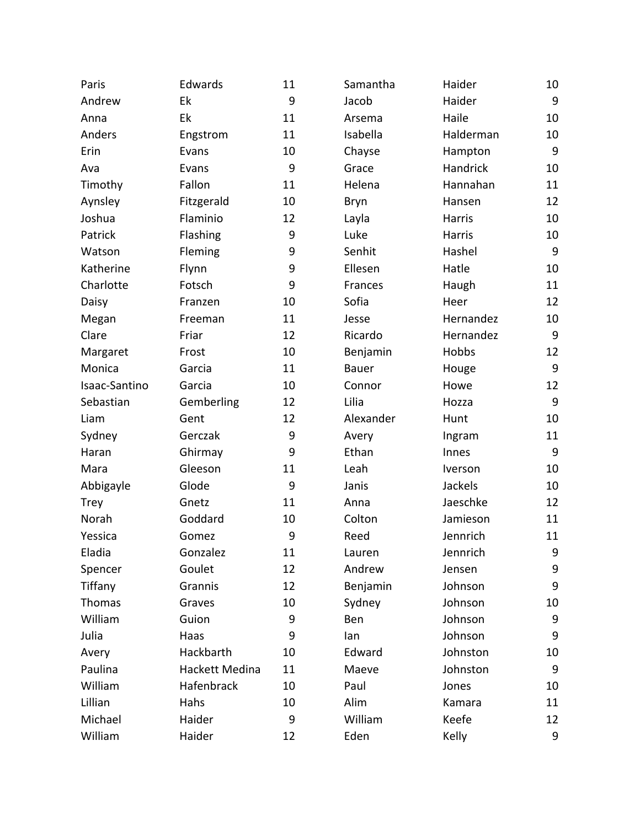| Paris         | Edwards        | 11 | Samantha     | Haider    | 10 |
|---------------|----------------|----|--------------|-----------|----|
| Andrew        | Ek             | 9  | Jacob        | Haider    | 9  |
| Anna          | Ek             | 11 | Arsema       | Haile     | 10 |
| Anders        | Engstrom       | 11 | Isabella     | Halderman | 10 |
| Erin          | Evans          | 10 | Chayse       | Hampton   | 9  |
| Ava           | Evans          | 9  | Grace        | Handrick  | 10 |
| Timothy       | Fallon         | 11 | Helena       | Hannahan  | 11 |
| Aynsley       | Fitzgerald     | 10 | Bryn         | Hansen    | 12 |
| Joshua        | Flaminio       | 12 | Layla        | Harris    | 10 |
| Patrick       | Flashing       | 9  | Luke         | Harris    | 10 |
| Watson        | Fleming        | 9  | Senhit       | Hashel    | 9  |
| Katherine     | Flynn          | 9  | Ellesen      | Hatle     | 10 |
| Charlotte     | Fotsch         | 9  | Frances      | Haugh     | 11 |
| Daisy         | Franzen        | 10 | Sofia        | Heer      | 12 |
| Megan         | Freeman        | 11 | Jesse        | Hernandez | 10 |
| Clare         | Friar          | 12 | Ricardo      | Hernandez | 9  |
| Margaret      | Frost          | 10 | Benjamin     | Hobbs     | 12 |
| Monica        | Garcia         | 11 | <b>Bauer</b> | Houge     | 9  |
| Isaac-Santino | Garcia         | 10 | Connor       | Howe      | 12 |
| Sebastian     | Gemberling     | 12 | Lilia        | Hozza     | 9  |
| Liam          | Gent           | 12 | Alexander    | Hunt      | 10 |
| Sydney        | Gerczak        | 9  | Avery        | Ingram    | 11 |
| Haran         | Ghirmay        | 9  | Ethan        | Innes     | 9  |
| Mara          | Gleeson        | 11 | Leah         | Iverson   | 10 |
| Abbigayle     | Glode          | 9  | Janis        | Jackels   | 10 |
| <b>Trey</b>   | Gnetz          | 11 | Anna         | Jaeschke  | 12 |
| Norah         | Goddard        | 10 | Colton       | Jamieson  | 11 |
| Yessica       | Gomez          | 9  | Reed         | Jennrich  | 11 |
| Eladia        | Gonzalez       | 11 | Lauren       | Jennrich  | 9  |
| Spencer       | Goulet         | 12 | Andrew       | Jensen    | 9  |
| Tiffany       | Grannis        | 12 | Benjamin     | Johnson   | 9  |
| Thomas        | Graves         | 10 | Sydney       | Johnson   | 10 |
| William       | Guion          | 9  | Ben          | Johnson   | 9  |
| Julia         | Haas           | 9  | lan          | Johnson   | 9  |
| Avery         | Hackbarth      | 10 | Edward       | Johnston  | 10 |
| Paulina       | Hackett Medina | 11 | Maeve        | Johnston  | 9  |
| William       | Hafenbrack     | 10 | Paul         | Jones     | 10 |
| Lillian       | Hahs           | 10 | Alim         | Kamara    | 11 |
| Michael       | Haider         | 9  | William      | Keefe     | 12 |
| William       | Haider         | 12 | Eden         | Kelly     | 9  |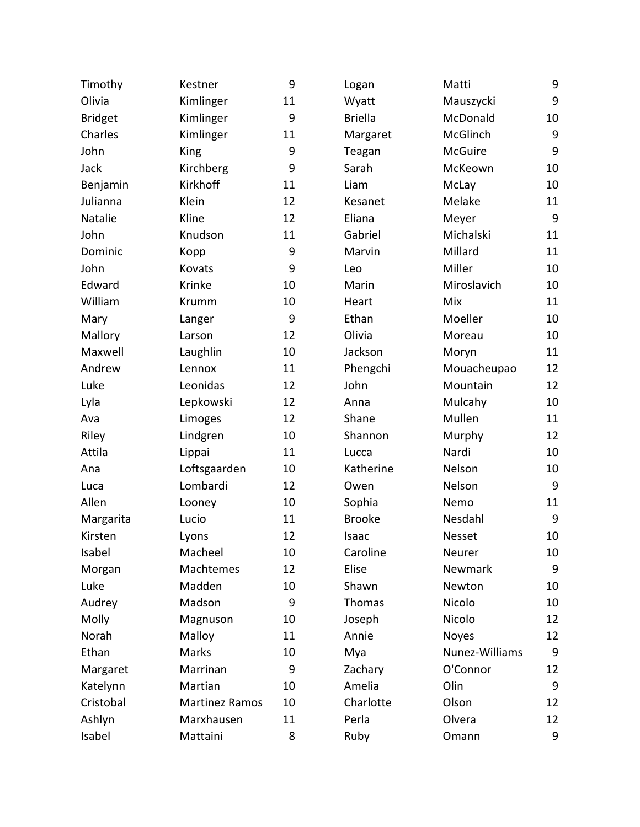| Timothy        | Kestner               | 9  | Logan          | Matti          | 9  |
|----------------|-----------------------|----|----------------|----------------|----|
| Olivia         | Kimlinger             | 11 | Wyatt          | Mauszycki      | 9  |
| <b>Bridget</b> | Kimlinger             | 9  | <b>Briella</b> | McDonald       | 10 |
| Charles        | Kimlinger             | 11 | Margaret       | McGlinch       | 9  |
| John           | <b>King</b>           | 9  | Teagan         | <b>McGuire</b> | 9  |
| Jack           | Kirchberg             | 9  | Sarah          | McKeown        | 10 |
| Benjamin       | Kirkhoff              | 11 | Liam           | McLay          | 10 |
| Julianna       | Klein                 | 12 | Kesanet        | Melake         | 11 |
| Natalie        | Kline                 | 12 | Eliana         | Meyer          | 9  |
| John           | Knudson               | 11 | Gabriel        | Michalski      | 11 |
| Dominic        | Kopp                  | 9  | Marvin         | Millard        | 11 |
| John           | Kovats                | 9  | Leo            | Miller         | 10 |
| Edward         | Krinke                | 10 | Marin          | Miroslavich    | 10 |
| William        | Krumm                 | 10 | Heart          | Mix            | 11 |
| Mary           | Langer                | 9  | Ethan          | Moeller        | 10 |
| Mallory        | Larson                | 12 | Olivia         | Moreau         | 10 |
| Maxwell        | Laughlin              | 10 | Jackson        | Moryn          | 11 |
| Andrew         | Lennox                | 11 | Phengchi       | Mouacheupao    | 12 |
| Luke           | Leonidas              | 12 | John           | Mountain       | 12 |
| Lyla           | Lepkowski             | 12 | Anna           | Mulcahy        | 10 |
| Ava            | Limoges               | 12 | Shane          | Mullen         | 11 |
| Riley          | Lindgren              | 10 | Shannon        | Murphy         | 12 |
| Attila         | Lippai                | 11 | Lucca          | Nardi          | 10 |
| Ana            | Loftsgaarden          | 10 | Katherine      | Nelson         | 10 |
| Luca           | Lombardi              | 12 | Owen           | Nelson         | 9  |
| Allen          | Looney                | 10 | Sophia         | Nemo           | 11 |
| Margarita      | Lucio                 | 11 | <b>Brooke</b>  | Nesdahl        | 9  |
| Kirsten        | Lyons                 | 12 | Isaac          | Nesset         | 10 |
| Isabel         | Macheel               | 10 | Caroline       | Neurer         | 10 |
| Morgan         | Machtemes             | 12 | Elise          | Newmark        | 9  |
| Luke           | Madden                | 10 | Shawn          | Newton         | 10 |
| Audrey         | Madson                | 9  | Thomas         | Nicolo         | 10 |
| Molly          | Magnuson              | 10 | Joseph         | Nicolo         | 12 |
| Norah          | Malloy                | 11 | Annie          | <b>Noyes</b>   | 12 |
| Ethan          | Marks                 | 10 | Mya            | Nunez-Williams | 9  |
| Margaret       | Marrinan              | 9  | Zachary        | O'Connor       | 12 |
| Katelynn       | Martian               | 10 | Amelia         | Olin           | 9  |
| Cristobal      | <b>Martinez Ramos</b> | 10 | Charlotte      | Olson          | 12 |
| Ashlyn         | Marxhausen            | 11 | Perla          | Olvera         | 12 |
| Isabel         | Mattaini              | 8  | Ruby           | Omann          | 9  |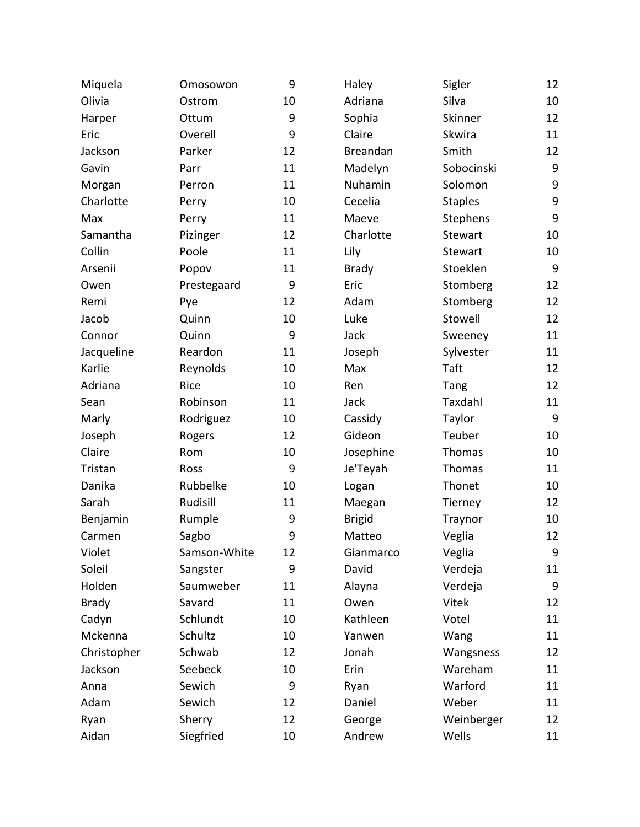| Miquela      | Omosowon     | 9  | Haley         | Sigler         | 12 |
|--------------|--------------|----|---------------|----------------|----|
| Olivia       | Ostrom       | 10 | Adriana       | Silva          | 10 |
| Harper       | Ottum        | 9  | Sophia        | Skinner        | 12 |
| Eric         | Overell      | 9  | Claire        | Skwira         | 11 |
| Jackson      | Parker       | 12 | Breandan      | Smith          | 12 |
| Gavin        | Parr         | 11 | Madelyn       | Sobocinski     | 9  |
| Morgan       | Perron       | 11 | Nuhamin       | Solomon        | 9  |
| Charlotte    | Perry        | 10 | Cecelia       | <b>Staples</b> | 9  |
| Max          | Perry        | 11 | Maeve         | Stephens       | 9  |
| Samantha     | Pizinger     | 12 | Charlotte     | Stewart        | 10 |
| Collin       | Poole        | 11 | Lily          | Stewart        | 10 |
| Arsenii      | Popov        | 11 | <b>Brady</b>  | Stoeklen       | 9  |
| Owen         | Prestegaard  | 9  | Eric          | Stomberg       | 12 |
| Remi         | Pye          | 12 | Adam          | Stomberg       | 12 |
| Jacob        | Quinn        | 10 | Luke          | Stowell        | 12 |
| Connor       | Quinn        | 9  | Jack          | Sweeney        | 11 |
| Jacqueline   | Reardon      | 11 | Joseph        | Sylvester      | 11 |
| Karlie       | Reynolds     | 10 | Max           | Taft           | 12 |
| Adriana      | Rice         | 10 | Ren           | Tang           | 12 |
| Sean         | Robinson     | 11 | Jack          | Taxdahl        | 11 |
| Marly        | Rodriguez    | 10 | Cassidy       | Taylor         | 9  |
| Joseph       | Rogers       | 12 | Gideon        | Teuber         | 10 |
| Claire       | Rom          | 10 | Josephine     | Thomas         | 10 |
| Tristan      | Ross         | 9  | Je'Teyah      | Thomas         | 11 |
| Danika       | Rubbelke     | 10 | Logan         | Thonet         | 10 |
| Sarah        | Rudisill     | 11 | Maegan        | Tierney        | 12 |
| Benjamin     | Rumple       | 9  | <b>Brigid</b> | Traynor        | 10 |
| Carmen       | Sagbo        | 9  | Matteo        | Veglia         | 12 |
| Violet       | Samson-White | 12 | Gianmarco     | Veglia         | 9  |
| Soleil       | Sangster     | 9  | David         | Verdeja        | 11 |
| Holden       | Saumweber    | 11 | Alayna        | Verdeja        | 9  |
| <b>Brady</b> | Savard       | 11 | Owen          | Vitek          | 12 |
| Cadyn        | Schlundt     | 10 | Kathleen      | Votel          | 11 |
| Mckenna      | Schultz      | 10 | Yanwen        | Wang           | 11 |
| Christopher  | Schwab       | 12 | Jonah         | Wangsness      | 12 |
| Jackson      | Seebeck      | 10 | Erin          | Wareham        | 11 |
| Anna         | Sewich       | 9  | Ryan          | Warford        | 11 |
| Adam         | Sewich       | 12 | Daniel        | Weber          | 11 |
| Ryan         | Sherry       | 12 | George        | Weinberger     | 12 |
| Aidan        | Siegfried    | 10 | Andrew        | Wells          | 11 |